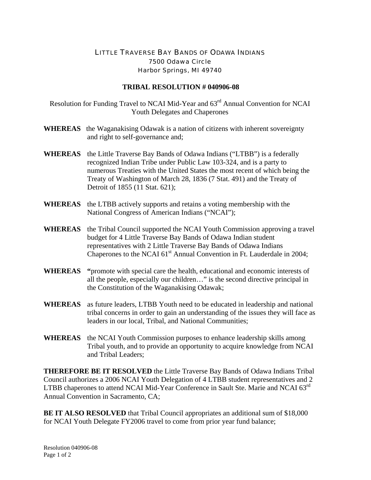## LITTLE TRAVERSE BAY BANDS OF ODAWA INDIANS 7500 Odawa Circle Harbor Springs, MI 49740

## **TRIBAL RESOLUTION # 040906-08**

Resolution for Funding Travel to NCAI Mid-Year and 63rd Annual Convention for NCAI Youth Delegates and Chaperones

- **WHEREAS** the Waganakising Odawak is a nation of citizens with inherent sovereignty and right to self-governance and;
- **WHEREAS** the Little Traverse Bay Bands of Odawa Indians ("LTBB") is a federally recognized Indian Tribe under Public Law 103-324, and is a party to numerous Treaties with the United States the most recent of which being the Treaty of Washington of March 28, 1836 (7 Stat. 491) and the Treaty of Detroit of 1855 (11 Stat. 621);
- **WHEREAS** the LTBB actively supports and retains a voting membership with the National Congress of American Indians ("NCAI");
- **WHEREAS** the Tribal Council supported the NCAI Youth Commission approving a travel budget for 4 Little Traverse Bay Bands of Odawa Indian student representatives with 2 Little Traverse Bay Bands of Odawa Indians Chaperones to the NCAI  $61<sup>st</sup>$  Annual Convention in Ft. Lauderdale in 2004;
- **WHEREAS "**promote with special care the health, educational and economic interests of all the people, especially our children…" is the second directive principal in the Constitution of the Waganakising Odawak;
- **WHEREAS** as future leaders, LTBB Youth need to be educated in leadership and national tribal concerns in order to gain an understanding of the issues they will face as leaders in our local, Tribal, and National Communities;
- **WHEREAS** the NCAI Youth Commission purposes to enhance leadership skills among Tribal youth, and to provide an opportunity to acquire knowledge from NCAI and Tribal Leaders;

**THEREFORE BE IT RESOLVED** the Little Traverse Bay Bands of Odawa Indians Tribal Council authorizes a 2006 NCAI Youth Delegation of 4 LTBB student representatives and 2 LTBB chaperones to attend NCAI Mid-Year Conference in Sault Ste. Marie and NCAI 63<sup>rd</sup> Annual Convention in Sacramento, CA;

**BE IT ALSO RESOLVED** that Tribal Council appropriates an additional sum of \$18,000 for NCAI Youth Delegate FY2006 travel to come from prior year fund balance;